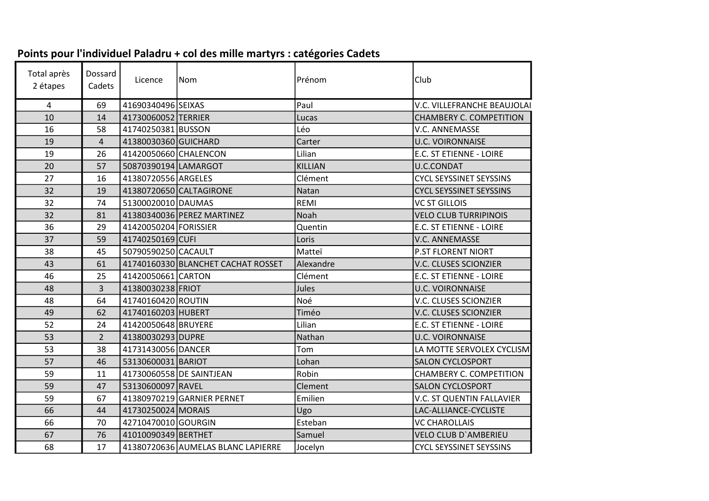| Total après<br>2 étapes | Dossard<br>Cadets | Licence               | Nom                                | Prénom         | Club                           |
|-------------------------|-------------------|-----------------------|------------------------------------|----------------|--------------------------------|
| 4                       | 69                | 41690340496 SEIXAS    |                                    | Paul           | V.C. VILLEFRANCHE BEAUJOLAI    |
| 10                      | 14                | 41730060052 TERRIER   |                                    | Lucas          | CHAMBERY C. COMPETITION        |
| 16                      | 58                | 41740250381 BUSSON    |                                    | Léo            | V.C. ANNEMASSE                 |
| 19                      | $\overline{4}$    | 41380030360 GUICHARD  |                                    | Carter         | <b>U.C. VOIRONNAISE</b>        |
| 19                      | 26                | 41420050660 CHALENCON |                                    | Lilian         | E.C. ST ETIENNE - LOIRE        |
| 20                      | 57                | 50870390194 LAMARGOT  |                                    | <b>KILLIAN</b> | U.C.CONDAT                     |
| 27                      | 16                | 41380720556 ARGELES   |                                    | Clément        | <b>CYCL SEYSSINET SEYSSINS</b> |
| 32                      | 19                |                       | 41380720650 CALTAGIRONE            | Natan          | <b>CYCL SEYSSINET SEYSSINS</b> |
| 32                      | 74                | 51300020010 DAUMAS    |                                    | REMI           | <b>VC ST GILLOIS</b>           |
| 32                      | 81                |                       | 41380340036 PEREZ MARTINEZ         | Noah           | <b>VELO CLUB TURRIPINOIS</b>   |
| 36                      | 29                | 41420050204 FORISSIER |                                    | Quentin        | E.C. ST ETIENNE - LOIRE        |
| 37                      | 59                | 41740250169 CUFI      |                                    | Loris          | V.C. ANNEMASSE                 |
| 38                      | 45                | 50790590250 CACAULT   |                                    | Matteï         | P.ST FLORENT NIORT             |
| 43                      | 61                |                       | 41740160330 BLANCHET CACHAT ROSSET | Alexandre      | V.C. CLUSES SCIONZIER          |
| 46                      | 25                | 41420050661 CARTON    |                                    | Clément        | E.C. ST ETIENNE - LOIRE        |
| 48                      | $\overline{3}$    | 41380030238 FRIOT     |                                    | Jules          | <b>U.C. VOIRONNAISE</b>        |
| 48                      | 64                | 41740160420 ROUTIN    |                                    | Noé            | V.C. CLUSES SCIONZIER          |
| 49                      | 62                | 41740160203 HUBERT    |                                    | Timéo          | V.C. CLUSES SCIONZIER          |
| 52                      | 24                | 41420050648 BRUYERE   |                                    | Lilian         | E.C. ST ETIENNE - LOIRE        |
| 53                      | $\overline{2}$    | 41380030293 DUPRE     |                                    | Nathan         | <b>U.C. VOIRONNAISE</b>        |
| 53                      | 38                | 41731430056 DANCER    |                                    | Tom            | LA MOTTE SERVOLEX CYCLISM      |
| 57                      | 46                | 53130600031 BARIOT    |                                    | Lohan          | <b>SALON CYCLOSPORT</b>        |
| 59                      | 11                |                       | 41730060558 DE SAINTJEAN           | Robin          | CHAMBERY C. COMPETITION        |
| 59                      | 47                | 53130600097 RAVEL     |                                    | Clement        | <b>SALON CYCLOSPORT</b>        |
| 59                      | 67                |                       | 41380970219 GARNIER PERNET         | Emilien        | V.C. ST QUENTIN FALLAVIER      |
| 66                      | 44                | 41730250024 MORAIS    |                                    | Ugo            | LAC-ALLIANCE-CYCLISTE          |
| 66                      | 70                | 42710470010 GOURGIN   |                                    | Esteban        | <b>VC CHAROLLAIS</b>           |
| 67                      | 76                | 41010090349 BERTHET   |                                    | Samuel         | <b>VELO CLUB D'AMBERIEU</b>    |
| 68                      | 17                |                       | 41380720636 AUMELAS BLANC LAPIERRE | Jocelyn        | <b>CYCL SEYSSINET SEYSSINS</b> |

## Points pour l'individuel Paladru + col des mille martyrs : catégories Cadets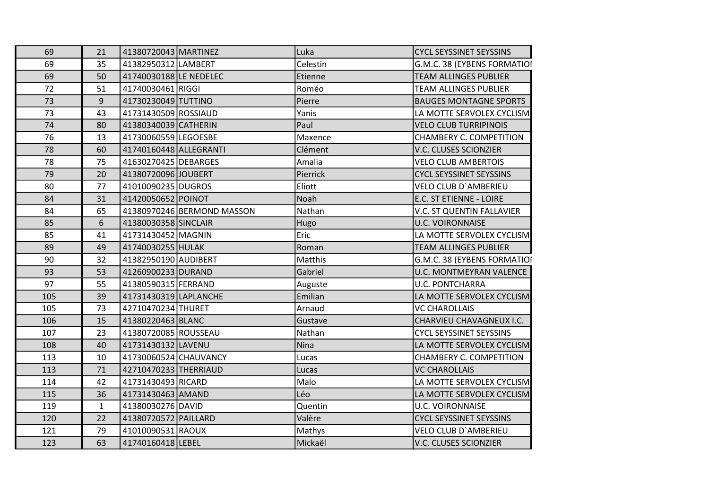| 69  | 21           | 41380720043 MARTINEZ   |                            | Luka     | <b>CYCL SEYSSINET SEYSSINS</b>   |
|-----|--------------|------------------------|----------------------------|----------|----------------------------------|
| 69  | 35           | 41382950312 LAMBERT    |                            | Celestin | G.M.C. 38 (EYBENS FORMATIOI      |
| 69  | 50           | 41740030188 LE NEDELEC |                            | Etienne  | <b>TEAM ALLINGES PUBLIER</b>     |
| 72  | 51           | 41740030461 RIGGI      |                            | Roméo    | <b>TEAM ALLINGES PUBLIER</b>     |
| 73  | 9            | 41730230049 TUTTINO    |                            | Pierre   | <b>BAUGES MONTAGNE SPORTS</b>    |
| 73  | 43           | 41731430509 ROSSIAUD   |                            | Yanis    | LA MOTTE SERVOLEX CYCLISM        |
| 74  | 80           | 41380340039 CATHERIN   |                            | Paul     | <b>VELO CLUB TURRIPINOIS</b>     |
| 76  | 13           | 41730060559 LEGOESBE   |                            | Maxence  | CHAMBERY C. COMPETITION          |
| 78  | 60           | 41740160448 ALLEGRANTI |                            | Clément  | V.C. CLUSES SCIONZIER            |
| 78  | 75           | 41630270425 DEBARGES   |                            | Amalia   | <b>VELO CLUB AMBERTOIS</b>       |
| 79  | 20           | 41380720096 JOUBERT    |                            | Pierrick | <b>CYCL SEYSSINET SEYSSINS</b>   |
| 80  | 77           | 41010090235 DUGROS     |                            | Eliott   | VELO CLUB D'AMBERIEU             |
| 84  | 31           | 41420050652 POINOT     |                            | Noah     | E.C. ST ETIENNE - LOIRE          |
| 84  | 65           |                        | 41380970246 BERMOND MASSON | Nathan   | <b>V.C. ST QUENTIN FALLAVIER</b> |
| 85  | 6            | 41380030358 SINCLAIR   |                            | Hugo     | <b>U.C. VOIRONNAISE</b>          |
| 85  | 41           | 41731430452 MAGNIN     |                            | Eric     | LA MOTTE SERVOLEX CYCLISM        |
| 89  | 49           | 41740030255 HULAK      |                            | Roman    | <b>TEAM ALLINGES PUBLIER</b>     |
| 90  | 32           | 41382950190 AUDIBERT   |                            | Matthis  | G.M.C. 38 (EYBENS FORMATIOI      |
| 93  | 53           | 41260900233 DURAND     |                            | Gabriel  | <b>U.C. MONTMEYRAN VALENCE</b>   |
| 97  | 55           | 41380590315 FERRAND    |                            | Auguste  | <b>U.C. PONTCHARRA</b>           |
| 105 | 39           | 41731430319 LAPLANCHE  |                            | Emilian  | LA MOTTE SERVOLEX CYCLISM        |
| 105 | 73           | 42710470234 THURET     |                            | Arnaud   | <b>VC CHAROLLAIS</b>             |
| 106 | 15           | 41380220463 BLANC      |                            | Gustave  | CHARVIEU CHAVAGNEUX I.C.         |
| 107 | 23           | 41380720085 ROUSSEAU   |                            | Nathan   | <b>CYCL SEYSSINET SEYSSINS</b>   |
| 108 | 40           | 41731430132 LAVENU     |                            | Nina     | LA MOTTE SERVOLEX CYCLISM        |
| 113 | 10           | 41730060524 CHAUVANCY  |                            | Lucas    | CHAMBERY C. COMPETITION          |
| 113 | 71           | 42710470233 THERRIAUD  |                            | Lucas    | <b>VC CHAROLLAIS</b>             |
| 114 | 42           | 41731430493 RICARD     |                            | Malo     | LA MOTTE SERVOLEX CYCLISM        |
| 115 | 36           | 41731430463 AMAND      |                            | Léo      | LA MOTTE SERVOLEX CYCLISM        |
| 119 | $\mathbf{1}$ | 41380030276 DAVID      |                            | Quentin  | <b>U.C. VOIRONNAISE</b>          |
| 120 | 22           | 41380720572 PAILLARD   |                            | Valère   | <b>CYCL SEYSSINET SEYSSINS</b>   |
| 121 | 79           | 41010090531 RAOUX      |                            | Mathys   | <b>VELO CLUB D'AMBERIEU</b>      |
| 123 | 63           | 41740160418 LEBEL      |                            | Mickaël  | <b>V.C. CLUSES SCIONZIER</b>     |